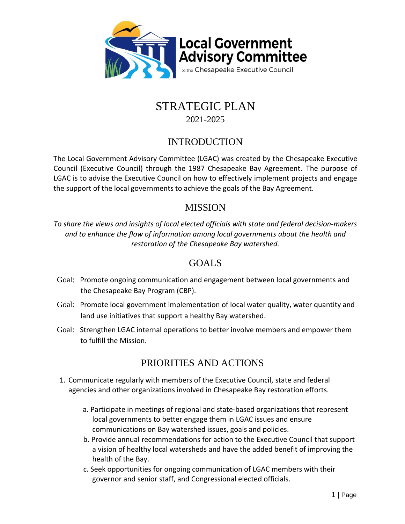

# STRATEGIC PLAN 2021-2025

### INTRODUCTION

The Local Government Advisory Committee (LGAC) was created by the Chesapeake Executive Council (Executive Council) through the 1987 Chesapeake Bay Agreement. The purpose of LGAC is to advise the Executive Council on how to effectively implement projects and engage the support of the local governments to achieve the goals of the Bay Agreement.

#### MISSION

*To share the views and insights of local elected officials with state and federal decision‐makers and to enhance the flow of information among local governments about the health and restoration of the Chesapeake Bay watershed.* 

#### GOALS

- Goal: Promote ongoing communication and engagement between local governments and the Chesapeake Bay Program (CBP).
- Goal: Promote local government implementation of local water quality, water quantity and land use initiatives that support a healthy Bay watershed.
- Goal: Strengthen LGAC internal operations to better involve members and empower them to fulfill the Mission.

## PRIORITIES AND ACTIONS

- 1. Communicate regularly with members of the Executive Council, state and federal agencies and other organizations involved in Chesapeake Bay restoration efforts.
	- a. Participate in meetings of regional and state‐based organizations that represent local governments to better engage them in LGAC issues and ensure communications on Bay watershed issues, goals and policies.
	- b. Provide annual recommendations for action to the Executive Council that support a vision of healthy local watersheds and have the added benefit of improving the health of the Bay.
	- c. Seek opportunities for ongoing communication of LGAC members with their governor and senior staff, and Congressional elected officials.